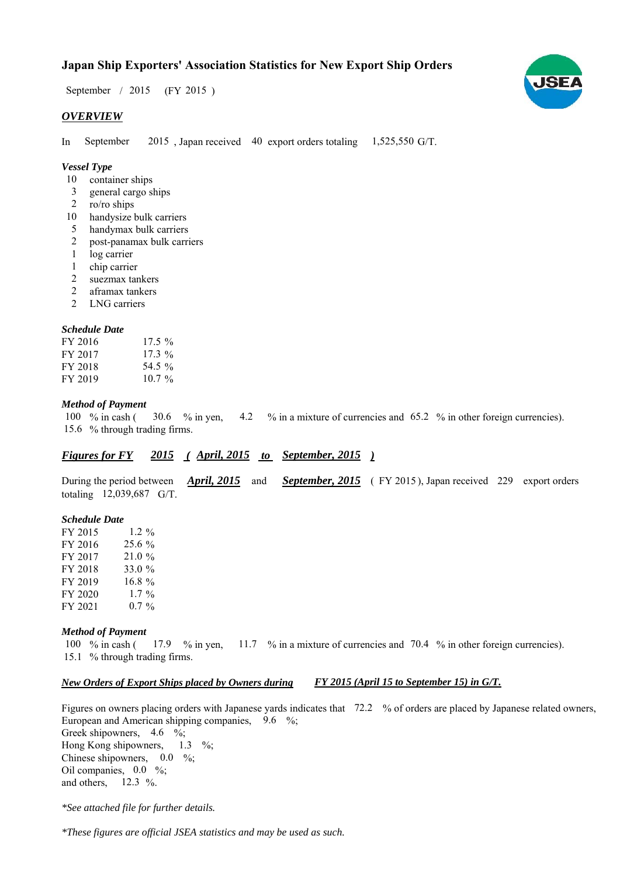# **Japan Ship Exporters' Association Statistics for New Export Ship Orders**

September / 2015 (FY 2015)

### *OVERVIEW*

In September  $2015$ , Japan received 40 export orders totaling 1,525,550 G/T. September

## *Vessel Type*

- container ships 10
- general cargo ships 3
- ro/ro ships 2
- 10 handysize bulk carriers
- handymax bulk carriers 5
- post-panamax bulk carriers 2
- log carrier 1
- 1 chip carrier
- suezmax tankers 2
- aframax tankers 2
- LNG carriers 2

#### *Schedule Date*

| FY 2016 | $17.5\%$ |
|---------|----------|
| FY 2017 | $17.3\%$ |
| FY 2018 | 54.5 %   |
| FY 2019 | $107\%$  |

#### *Method of Payment*

% in cash ( $\frac{30.6}{8}$  in yen,  $\frac{4.2}{8}$  % in a mixture of currencies and 65.2 % in other foreign currencies). 15.6 % through trading firms. 30.6  $%$  in yen, 100  $%$  in cash (

# *Figures for FY* 2015 (April, 2015 to September, 2015)

During the period between *April, 2015* and *September, 2015* (FY 2015), Japan received 229 export orders totaling  $12,039,687$  G/T. *April, 2015*

#### *Schedule Date*

| FY 2015 | 1.2 $\%$  |
|---------|-----------|
| FY 2016 | 25.6 %    |
| FY 2017 | 21.0 %    |
| FY 2018 | 33.0 %    |
| FY 2019 | $16.8 \%$ |
| FY 2020 | $1.7\%$   |
| FY 2021 | $0.7\%$   |

#### *Method of Payment*

% in cash ( $\frac{17.9}{8}$  in yen,  $\frac{11.7}{8}$  in a mixture of currencies and 70.4 % in other foreign currencies). 15.1 % through trading firms. 100  $\%$  in cash (

#### *New Orders of Export Ships placed by Owners during FY 2015 (April 15 to September 15) in G/T.*

Figures on owners placing orders with Japanese yards indicates that 72.2 % of orders are placed by Japanese related owners, European and American shipping companies,  $9.6\%$ ; Greek shipowners,  $4.6 \frac{6}{6}$ ; Hong Kong shipowners,  $1.3 \frac{\%}{\%}$ 

Chinese shipowners,  $0.0\%$ ; Oil companies,  $0.0\%$ ; and others,  $12.3\%$ .

*\*See attached file for further details.*

*\*These figures are official JSEA statistics and may be used as such.*

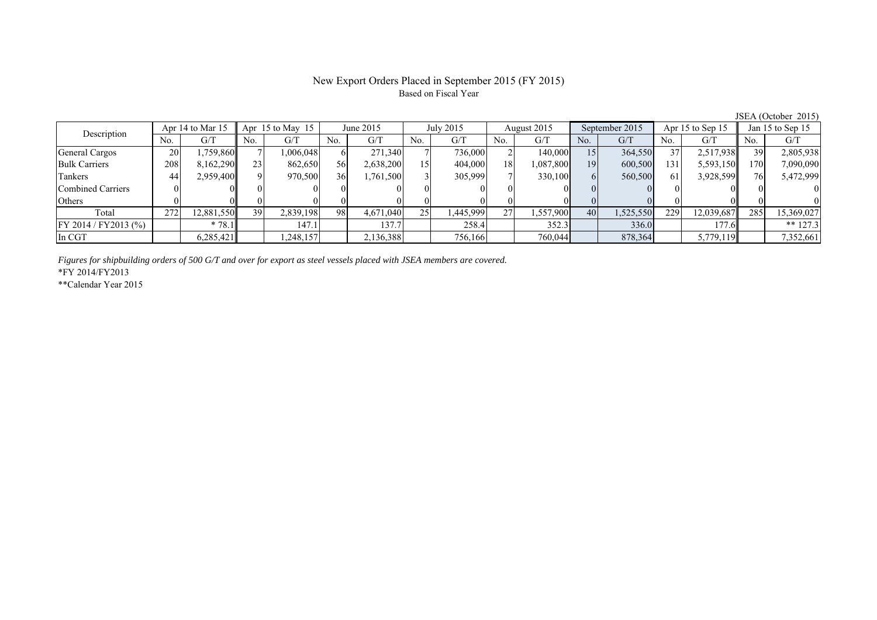# New Export Orders Placed in September 2015 (FY 2015) Based on Fiscal Year

JSEA (October 2015)

| Description              |     | Apr 14 to Mar 15 |     | Apr $15$ to May $15$ |     | June 2015 |     | July 2015 |     | August 2015 |     | September 2015 |     | Apr 15 to Sep 15 |     | Jan 15 to Sep 15 |  |
|--------------------------|-----|------------------|-----|----------------------|-----|-----------|-----|-----------|-----|-------------|-----|----------------|-----|------------------|-----|------------------|--|
|                          | No. | G/T              | No. | G/T                  | No. | G/T       | No. | G/T       | No. | G/T         | No. | G/T            | No. | G/T              | No. | G/T              |  |
| General Cargos           | 20  | ,759,860         |     | 006,048              |     | 271,340   |     | 736,000   |     | 140,000     | 15  | 364,550        | 37  | 2,517,938        | 39  | 2,805,938        |  |
| <b>Bulk Carriers</b>     | 208 | 8,162,290        | 23  | 862,650              | 56  | 2,638,200 | 15  | 404,000   | 18  | 1,087,800   | 19  | 600,500        | 131 | 5,593,150        | 170 | 7,090,090        |  |
| Tankers                  | 44  | 2,959,400        |     | 970,500              | 36  | 1,761,500 |     | 305,999   |     | 330,100     |     | 560,500        | 61  | 3,928,599        | 76  | 5,472,999        |  |
| <b>Combined Carriers</b> |     |                  |     |                      |     |           |     |           |     |             |     |                |     |                  |     |                  |  |
| Others                   |     |                  |     |                      |     |           |     |           |     |             |     |                |     |                  |     |                  |  |
| Total                    | 272 | 12,881,550       | 39  | 2,839,198            | 98  | 4,671,040 | 25  | .445,999  | 27  | 1,557,900   | 40  | 1,525,550      | 229 | 12,039,687       | 285 | 15,369,027       |  |
| FY 2014 / FY 2013 (%)    |     | $*78.1$          |     | 147.1                |     | 137.7     |     | 258.4     |     | 352.3       |     | 336.0          |     | 177.6            |     | ** $127.3$       |  |
| In CGT                   |     | 6,285,421        |     | ,248,157             |     | 2,136,388 |     | 756,166   |     | 760,044     |     | 878,364        |     | 5,779,119        |     | 7,352,661        |  |

*Figures for shipbuilding orders of 500 G/T and over for export as steel vessels placed with JSEA members are covered.*

\*FY 2014/FY2013

\*\*Calendar Year 2015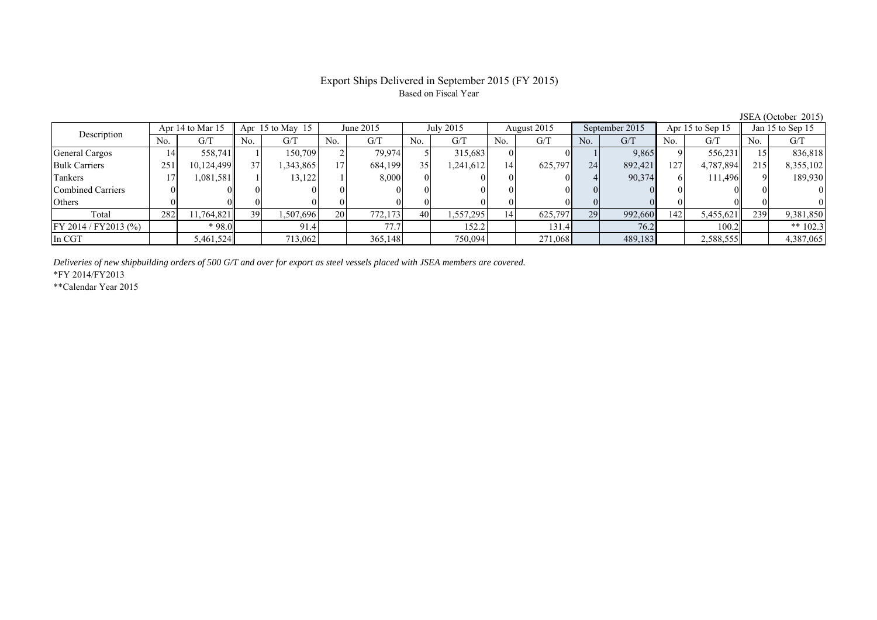# Export Ships Delivered in September 2015 (FY 2015) Based on Fiscal Year

| Description             |     | Apr 14 to Mar 15 |     | Apr $15$ to May $15$<br>June 2015 |                 |         | July 2015 | August 2015 |                | September 2015 |     | Apr 15 to Sep 15 |             | Jan 15 to Sep 15 |     |            |
|-------------------------|-----|------------------|-----|-----------------------------------|-----------------|---------|-----------|-------------|----------------|----------------|-----|------------------|-------------|------------------|-----|------------|
|                         | No. | G/T              | No. | G/T                               | No.             | G/T     | No.       | G/T         | N <sub>0</sub> | G/T            | No. | G/T              | No.         | G/T              | No. | G/T        |
| General Cargos          | 14  | 558,741          |     | 150.709                           |                 | 79,974  |           | 315,683     |                |                |     | 9,865            |             | 556,231          |     | 836,818    |
| <b>Bulk Carriers</b>    | 251 | 10,124,499       | 37  | 1,343,865                         | 17              | 684,199 | 35        | .241,612    | 14             | 625,797        | 24  | 892,421          | 127         | 4,787,894        | 215 | 8,355,102  |
| Tankers                 |     | 1,081,581        |     | 13,122                            |                 | 8.000   |           |             |                |                |     | 90,374           |             | 111.496          |     | 189,930    |
| Combined Carriers       |     |                  |     |                                   |                 |         |           |             |                |                |     |                  | $^{\prime}$ |                  |     |            |
| Others                  |     |                  |     |                                   |                 |         |           |             |                |                |     |                  |             |                  |     |            |
| Total                   | 282 | 11,764,821       | 39  | 1,507,696                         | 20 <sub>1</sub> | 772.173 | 40        | .557,295    | 14             | 625,797        | 29  | 992,660          | 142         | 5,455,621        | 239 | 9,381,850  |
| $FY 2014 / FY 2013$ (%) |     | * 98.0           |     | 91.4                              |                 | 77.7    |           | 152.2       |                | 131.4          |     | 76.2             |             | 100.2            |     | ** $102.3$ |
| In CGT                  |     | 5,461,524        |     | 713,062                           |                 | 365,148 |           | 750,094     |                | 271,068        |     | 489,183          |             | 2,588,555        |     | 4,387,065  |

*Deliveries of new shipbuilding orders of 500 G/T and over for export as steel vessels placed with JSEA members are covered.*

\*FY 2014/FY2013

\*\*Calendar Year 2015

JSEA (October 2015)